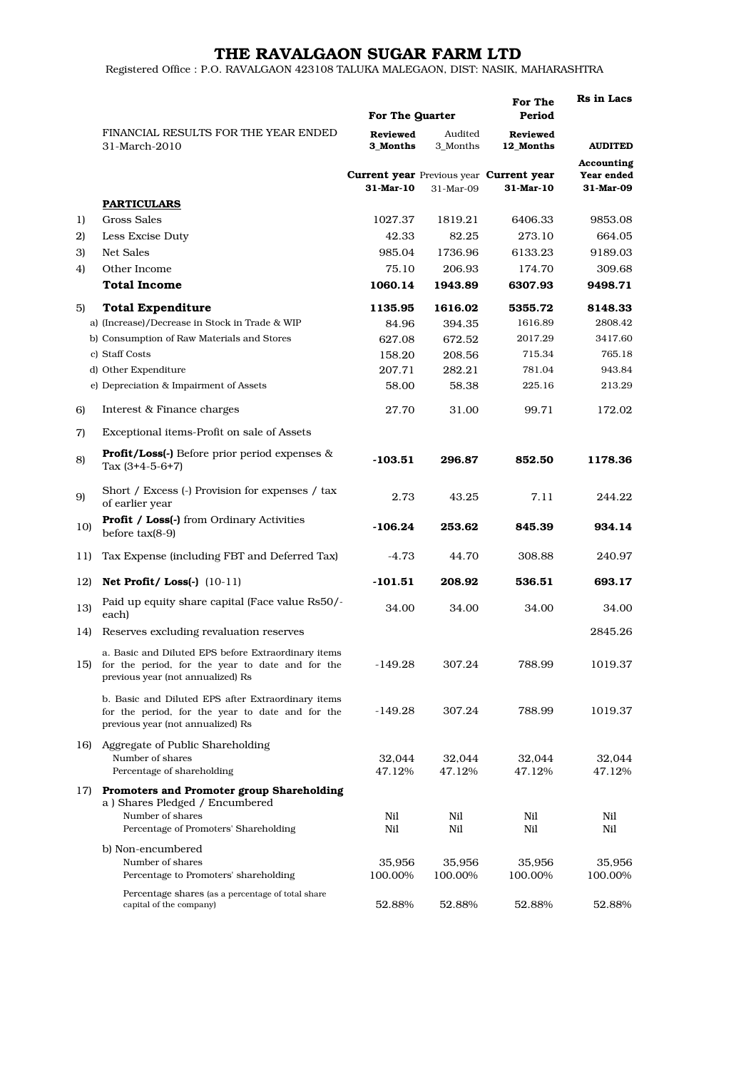## THE RAVALGAON SUGAR FARM LTD

Registered Office : P.O. RAVALGAON 423108 TALUKA MALEGAON, DIST: NASIK, MAHARASHTRA

|     |                                                                                                                                              |                      | For The Quarter     |                                                                    | Rs in Lacs                            |
|-----|----------------------------------------------------------------------------------------------------------------------------------------------|----------------------|---------------------|--------------------------------------------------------------------|---------------------------------------|
|     | FINANCIAL RESULTS FOR THE YEAR ENDED<br>31-March-2010                                                                                        | Reviewed<br>3 Months | Audited<br>3 Months | <b>Reviewed</b><br>12 Months                                       | <b>AUDITED</b>                        |
|     |                                                                                                                                              | 31-Mar-10            | 31-Mar-09           | <b>Current year</b> Previous year <b>Current year</b><br>31-Mar-10 | Accounting<br>Year ended<br>31-Mar-09 |
|     | <b>PARTICULARS</b>                                                                                                                           |                      |                     |                                                                    |                                       |
| 1)  | <b>Gross Sales</b>                                                                                                                           | 1027.37              | 1819.21             | 6406.33                                                            | 9853.08                               |
| 2)  | Less Excise Duty                                                                                                                             | 42.33                | 82.25               | 273.10                                                             | 664.05                                |
| 3)  | Net Sales                                                                                                                                    | 985.04               | 1736.96             | 6133.23                                                            | 9189.03                               |
| 4)  | Other Income                                                                                                                                 | 75.10                | 206.93              | 174.70                                                             | 309.68                                |
|     | <b>Total Income</b>                                                                                                                          | 1060.14              | 1943.89             | 6307.93                                                            | 9498.71                               |
| 5)  | <b>Total Expenditure</b>                                                                                                                     | 1135.95              | 1616.02             | 5355.72                                                            | 8148.33                               |
|     | a) (Increase)/Decrease in Stock in Trade & WIP                                                                                               | 84.96                | 394.35              | 1616.89                                                            | 2808.42                               |
|     | b) Consumption of Raw Materials and Stores                                                                                                   | 627.08               | 672.52              | 2017.29                                                            | 3417.60                               |
|     | c) Staff Costs                                                                                                                               | 158.20               | 208.56              | 715.34                                                             | 765.18                                |
|     | d) Other Expenditure                                                                                                                         | 207.71               | 282.21              | 781.04                                                             | 943.84                                |
|     | e) Depreciation & Impairment of Assets                                                                                                       | 58.00                | 58.38               | 225.16                                                             | 213.29                                |
| 6)  | Interest & Finance charges                                                                                                                   | 27.70                | 31.00               | 99.71                                                              | 172.02                                |
| 7)  | Exceptional items-Profit on sale of Assets                                                                                                   |                      |                     |                                                                    |                                       |
| 8)  | <b>Profit/Loss(-)</b> Before prior period expenses &<br>Tax $(3+4-5-6+7)$                                                                    | -103.51              | 296.87              | 852.50                                                             | 1178.36                               |
| 9)  | Short / Excess (-) Provision for expenses / tax<br>of earlier year                                                                           | 2.73                 | 43.25               | 7.11                                                               | 244.22                                |
| 10) | <b>Profit / Loss(-)</b> from Ordinary Activities<br>before $tax(8-9)$                                                                        | -106.24              | 253.62              | 845.39                                                             | 934.14                                |
| 11) | Tax Expense (including FBT and Deferred Tax)                                                                                                 | -4.73                | 44.70               | 308.88                                                             | 240.97                                |
| 12) | Net Profit/Loss $(-)$ $(10-11)$                                                                                                              | $-101.51$            | 208.92              | 536.51                                                             | 693.17                                |
| 13) | Paid up equity share capital (Face value Rs50/-<br>each)                                                                                     | 34.00                | 34.00               | 34.00                                                              | 34.00                                 |
| 14) | Reserves excluding revaluation reserves                                                                                                      |                      |                     |                                                                    | 2845.26                               |
| 15) | a. Basic and Diluted EPS before Extraordinary items<br>for the period, for the year to date and for the<br>previous year (not annualized) Rs | $-149.28$            | 307.24              | 788.99                                                             | 1019.37                               |
|     | b. Basic and Diluted EPS after Extraordinary items<br>for the period, for the year to date and for the<br>previous year (not annualized) Rs  | -149.28              | 307.24              | 788.99                                                             | 1019.37                               |
| 16) | Aggregate of Public Shareholding<br>Number of shares<br>Percentage of shareholding                                                           | 32,044<br>47.12%     | 32,044<br>47.12%    | 32,044<br>47.12%                                                   | 32,044<br>47.12%                      |
| 17) | Promoters and Promoter group Shareholding<br>a) Shares Pledged / Encumbered<br>Number of shares                                              | Nil                  | Nil                 | Nil                                                                | Nil                                   |
|     | Percentage of Promoters' Shareholding                                                                                                        | Nil                  | Nil                 | Nil                                                                | Nil                                   |
|     | b) Non-encumbered<br>Number of shares<br>Percentage to Promoters' shareholding                                                               | 35,956<br>100.00%    | 35,956<br>100.00%   | 35,956<br>100.00%                                                  | 35,956<br>100.00%                     |
|     | Percentage shares (as a percentage of total share<br>capital of the company)                                                                 | 52.88%               | 52.88%              | 52.88%                                                             | 52.88%                                |